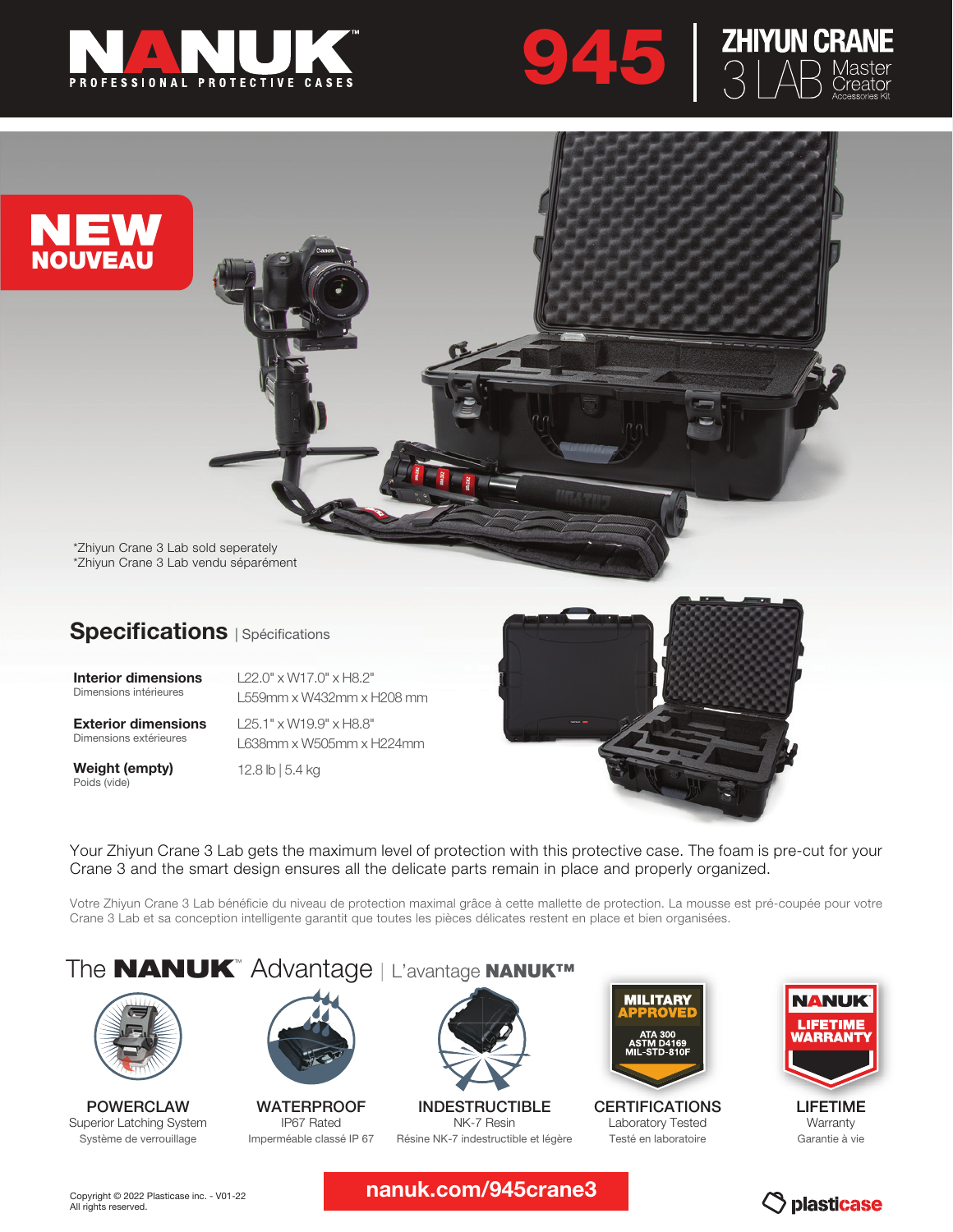





\*Zhiyun Crane 3 Lab sold seperately \*Zhiyun Crane 3 Lab vendu séparément

### Specifications | Spécifications

Interior dimensions Dimensions intérieures

L22.0" x W17.0" x H8.2" L559mm x W432mm x H208 mm

Exterior dimensions Dimensions extérieures

Weight (empty) Poids (vide)

L25.1" x W19.9" x H8.8" L638mm x W505mm x H224mm

12.8 lb | 5.4 kg



Your Zhiyun Crane 3 Lab gets the maximum level of protection with this protective case. The foam is pre-cut for your Crane 3 and the smart design ensures all the delicate parts remain in place and properly organized.

Votre Zhiyun Crane 3 Lab bénéficie du niveau de protection maximal grâce à cette mallette de protection. La mousse est pré-coupée pour votre Crane 3 Lab et sa conception intelligente garantit que toutes les pièces délicates restent en place et bien organisées.

# The **NANUK**<sup>™</sup> Advantage | L'avantage NANUK™



POWERCLAW Superior Latching System Système de verrouillage



**WATERPROOF** IP67 Rated Imperméable classé IP 67



INDESTRUCTIBLE NK-7 Resin Résine NK-7 indestructible et légère



CERTIFICATIONS Laboratory Tested Testé en laboratoire



LIFETIME Warranty Garantie à vie

nanuk.com/945crane3